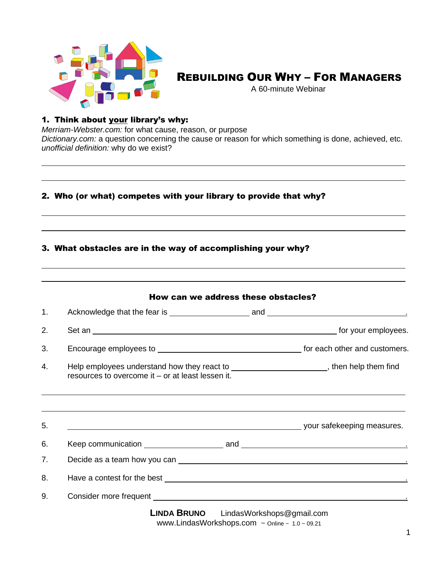

## REBUILDING OUR WHY – FOR MANAGERS

A 60-minute Webinar

## 1. Think about your library's why:

*Merriam-Webster.com:* for what cause, reason, or purpose *Dictionary.com:* a question concerning the cause or reason for which something is done, achieved, etc. *unofficial definition:* why do we exist?

## 2. Who (or what) competes with your library to provide that why?

## 3. What obstacles are in the way of accomplishing your why?

| 1. |                                                                                                                                                                                                                                |                           |                            |
|----|--------------------------------------------------------------------------------------------------------------------------------------------------------------------------------------------------------------------------------|---------------------------|----------------------------|
| 2. |                                                                                                                                                                                                                                |                           |                            |
| 3. |                                                                                                                                                                                                                                |                           |                            |
| 4. | Help employees understand how they react to ________________________, then help them find<br>resources to overcome it – or at least lessen it.                                                                                 |                           |                            |
| 5. |                                                                                                                                                                                                                                |                           | your safekeeping measures. |
| 6. |                                                                                                                                                                                                                                |                           |                            |
| 7. | Decide as a team how you can service and the service of the service of the service of the service of the service of the service of the service of the service of the service of the service of the service of the service of t |                           |                            |
| 8. |                                                                                                                                                                                                                                |                           |                            |
| 9. |                                                                                                                                                                                                                                |                           |                            |
|    | <b>LINDA BRUNO</b>                                                                                                                                                                                                             | LindasWorkshops@gmail.com |                            |

[www.LindasWorkshops.com](http://www.lindasworkshops.com/) ~ Online ~ 1.0 ~ 09.21